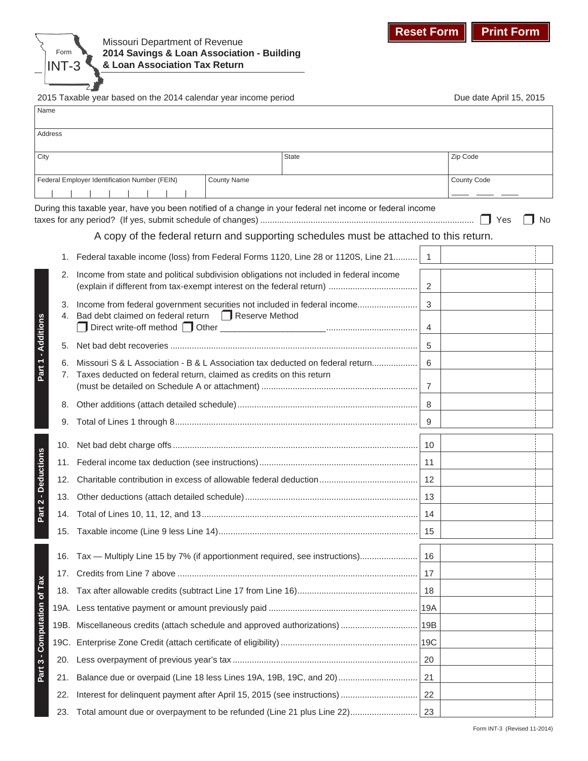

2015 Taxable year based on the 2014 calendar year income period Due Manus Due date April 15, 2015

| Name                        |      |                                                                                                           |                |             |
|-----------------------------|------|-----------------------------------------------------------------------------------------------------------|----------------|-------------|
| Address                     |      |                                                                                                           |                |             |
| City                        |      | <b>State</b>                                                                                              |                | Zip Code    |
|                             |      | Federal Employer Identification Number (FEIN)<br><b>County Name</b>                                       |                | County Code |
|                             |      | During this taxable year, have you been notified of a change in your federal net income or federal income |                |             |
|                             |      |                                                                                                           |                | Yes<br>No   |
|                             |      | A copy of the federal return and supporting schedules must be attached to this return.                    |                |             |
|                             |      | 1. Federal taxable income (loss) from Federal Forms 1120, Line 28 or 1120S, Line 21                       | $\overline{1}$ |             |
|                             | 2.   | Income from state and political subdivision obligations not included in federal income                    | 2              |             |
| Part 1 - Additions          | 3.   | Income from federal government securities not included in federal income                                  | 3              |             |
|                             |      | 4. Bad debt claimed on federal return <b>Fig. 2</b> Reserve Method                                        | -4             |             |
|                             | 5.   |                                                                                                           | 5              |             |
|                             | 6.   | Missouri S & L Association - B & L Association tax deducted on federal return                             | 6              |             |
|                             | 7.   | Taxes deducted on federal return, claimed as credits on this return                                       | 7              |             |
|                             | 8.   |                                                                                                           | 8              |             |
|                             | 9.   |                                                                                                           | 9              |             |
|                             |      |                                                                                                           | 10             |             |
| Part 2 - Deductions         | 11.  |                                                                                                           |                |             |
|                             | 12.  |                                                                                                           | 12             |             |
|                             | 13.  |                                                                                                           |                |             |
|                             | 14.  |                                                                                                           | 14             |             |
|                             |      |                                                                                                           | 15             |             |
|                             | 16.  | Tax — Multiply Line 15 by 7% (if apportionment required, see instructions)                                | 16             |             |
|                             | 17.  |                                                                                                           | 17             |             |
|                             | 18.  |                                                                                                           | 18             |             |
|                             | 19A. |                                                                                                           |                |             |
| Part 3 - Computation of Tax |      |                                                                                                           |                |             |
|                             | 19C. |                                                                                                           |                |             |
|                             | 20.  |                                                                                                           | 20             |             |
|                             | 21.  | Balance due or overpaid (Line 18 less Lines 19A, 19B, 19C, and 20)                                        | 21             |             |
|                             | 22.  |                                                                                                           | 22             |             |
|                             | 23.  | Total amount due or overpayment to be refunded (Line 21 plus Line 22)                                     | 23             |             |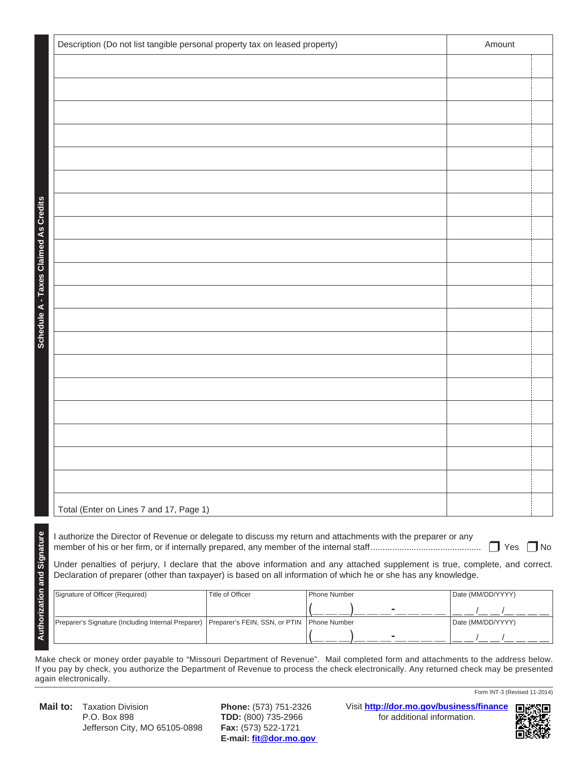|                                              | Description (Do not list tangible personal property tax on leased property)                                                                                   | Amount                        |                     |                   |  |  |  |  |
|----------------------------------------------|---------------------------------------------------------------------------------------------------------------------------------------------------------------|-------------------------------|---------------------|-------------------|--|--|--|--|
|                                              |                                                                                                                                                               |                               |                     |                   |  |  |  |  |
|                                              |                                                                                                                                                               |                               |                     |                   |  |  |  |  |
|                                              |                                                                                                                                                               |                               |                     |                   |  |  |  |  |
|                                              |                                                                                                                                                               |                               |                     |                   |  |  |  |  |
|                                              |                                                                                                                                                               |                               |                     |                   |  |  |  |  |
|                                              |                                                                                                                                                               |                               |                     |                   |  |  |  |  |
|                                              |                                                                                                                                                               |                               |                     |                   |  |  |  |  |
|                                              |                                                                                                                                                               |                               |                     |                   |  |  |  |  |
|                                              |                                                                                                                                                               |                               |                     |                   |  |  |  |  |
|                                              |                                                                                                                                                               |                               |                     |                   |  |  |  |  |
|                                              |                                                                                                                                                               |                               |                     |                   |  |  |  |  |
|                                              |                                                                                                                                                               |                               |                     |                   |  |  |  |  |
| <b>Schedule A - Taxes Claimed As Credits</b> |                                                                                                                                                               |                               |                     |                   |  |  |  |  |
|                                              |                                                                                                                                                               |                               |                     |                   |  |  |  |  |
|                                              |                                                                                                                                                               |                               |                     |                   |  |  |  |  |
|                                              |                                                                                                                                                               |                               |                     |                   |  |  |  |  |
|                                              |                                                                                                                                                               |                               |                     |                   |  |  |  |  |
|                                              |                                                                                                                                                               |                               |                     |                   |  |  |  |  |
|                                              |                                                                                                                                                               |                               |                     |                   |  |  |  |  |
|                                              |                                                                                                                                                               |                               |                     |                   |  |  |  |  |
|                                              | Total (Enter on Lines 7 and 17, Page 1)                                                                                                                       |                               |                     |                   |  |  |  |  |
|                                              | I authorize the Director of Revenue or delegate to discuss my return and attachments with the preparer or any                                                 |                               |                     |                   |  |  |  |  |
|                                              | $\Box$ No<br>$\mathsf{l}$ Yes<br>Under penalties of perjury, I declare that the above information and any attached supplement is true, complete, and correct. |                               |                     |                   |  |  |  |  |
| <b>Authorization and Signature</b>           | Declaration of preparer (other than taxpayer) is based on all information of which he or she has any knowledge.                                               |                               |                     |                   |  |  |  |  |
|                                              | Signature of Officer (Required)                                                                                                                               | <b>Title of Officer</b>       | <b>Phone Number</b> | Date (MM/DD/YYYY) |  |  |  |  |
|                                              | Preparer's Signature (Including Internal Preparer)                                                                                                            | Preparer's FEIN, SSN, or PTIN | Phone Number        | Date (MM/DD/YYYY) |  |  |  |  |
|                                              |                                                                                                                                                               |                               |                     |                   |  |  |  |  |

Make check or money order payable to "Missouri Department of Revenue". Mail completed form and attachments to the address below. If you pay by check, you authorize the Department of Revenue to process the check electronically. Any returned check may be presented again electronically.

**Mail to:** Taxation Division **Phone:** (573) 751-2326 P.O. Box 898 **TDD:** (800) 735-2966 Jefferson City, MO 65105-0898 **Fax:** (573) 522-1721

**E-mail: fit@dor.mo.gov** 

Visit **http://dor.mo.gov/business/finance** for additional information.



Form INT-3 (Revised 11-2014)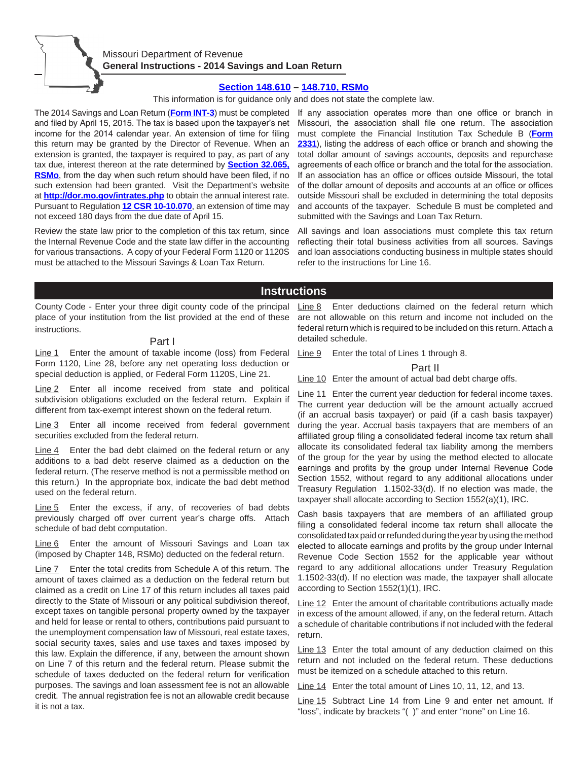

## Missouri Department of Revenue **General Instructions - 2014 Savings and Loan Return**

### **[Section 148.610 – 148.710, RSMo](http://www.moga.mo.gov/mostatutes/ChaptersIndex/chaptIndex148.html)**

This information is for guidance only and does not state the complete law.

The 2014 Savings and Loan Return (**[Form INT-3](http://dor.mo.gov/forms/index.php?formName=int-3&category=&submit=Go)**) must be completed and filed by April 15, 2015. The tax is based upon the taxpayer's net income for the 2014 calendar year. An extension of time for filing this return may be granted by the Director of Revenue. When an extension is granted, the taxpayer is required to pay, as part of any tax due, interest thereon at the rate determined by **[Section 32.065,](http://www.moga.mo.gov/mostatutes/stathtml/03200000651.html)  [RSMo](http://www.moga.mo.gov/mostatutes/stathtml/03200000651.html)**, from the day when such return should have been filed, if no such extension had been granted. Visit the Department's website at **http://dor.mo.gov/intrates.php** to obtain the annual interest rate. Pursuant to Regulation **[12 CSR 10-10.070](http://www.sos.mo.gov/adrules/csr/current/12csr/12c10-10.pdf)**, an extension of time may not exceed 180 days from the due date of April 15.

Review the state law prior to the completion of this tax return, since the Internal Revenue Code and the state law differ in the accounting for various transactions. A copy of your Federal Form 1120 or 1120S must be attached to the Missouri Savings & Loan Tax Return.

If any association operates more than one office or branch in Missouri, the association shall file one return. The association must complete the Financial Institution Tax Schedule B (**[Form](http://dor.mo.gov/forms/index.php?formName=2331&category=&year=&searchForms=Search+Forms)  [2331](http://dor.mo.gov/forms/index.php?formName=2331&category=&year=&searchForms=Search+Forms)**), listing the address of each office or branch and showing the total dollar amount of savings accounts, deposits and repurchase agreements of each office or branch and the total for the association. If an association has an office or offices outside Missouri, the total of the dollar amount of deposits and accounts at an office or offices outside Missouri shall be excluded in determining the total deposits and accounts of the taxpayer. Schedule B must be completed and submitted with the Savings and Loan Tax Return.

All savings and loan associations must complete this tax return reflecting their total business activities from all sources. Savings and loan associations conducting business in multiple states should refer to the instructions for Line 16.

# **Instructions**

County Code - Enter your three digit county code of the principal place of your institution from the list provided at the end of these instructions.

### Part I

Line 1 Enter the amount of taxable income (loss) from Federal Form 1120, Line 28, before any net operating loss deduction or special deduction is applied, or Federal Form 1120S, Line 21.

Line 2 Enter all income received from state and political subdivision obligations excluded on the federal return. Explain if different from tax-exempt interest shown on the federal return.

Line 3 Enter all income received from federal government securities excluded from the federal return.

Line 4 Enter the bad debt claimed on the federal return or any additions to a bad debt reserve claimed as a deduction on the federal return. (The reserve method is not a permissible method on this return.) In the appropriate box, indicate the bad debt method used on the federal return.

Line 5 Enter the excess, if any, of recoveries of bad debts previously charged off over current year's charge offs. Attach schedule of bad debt computation.

Line 6 Enter the amount of Missouri Savings and Loan tax (imposed by Chapter 148, RSMo) deducted on the federal return.

Line 7 Enter the total credits from Schedule A of this return. The amount of taxes claimed as a deduction on the federal return but claimed as a credit on Line 17 of this return includes all taxes paid directly to the State of Missouri or any political subdivision thereof, except taxes on tangible personal property owned by the taxpayer and held for lease or rental to others, contributions paid pursuant to the unemployment compensation law of Missouri, real estate taxes, social security taxes, sales and use taxes and taxes imposed by this law. Explain the difference, if any, between the amount shown on Line 7 of this return and the federal return. Please submit the schedule of taxes deducted on the federal return for verification purposes. The savings and loan assessment fee is not an allowable credit. The annual registration fee is not an allowable credit because it is not a tax.

Line 8 Enter deductions claimed on the federal return which are not allowable on this return and income not included on the federal return which is required to be included on this return. Attach a detailed schedule.

Line 9 Enter the total of Lines 1 through 8.

## Part II

Line 10 Enter the amount of actual bad debt charge offs.

Line 11 Enter the current year deduction for federal income taxes. The current year deduction will be the amount actually accrued (if an accrual basis taxpayer) or paid (if a cash basis taxpayer) during the year. Accrual basis taxpayers that are members of an affiliated group filing a consolidated federal income tax return shall allocate its consolidated federal tax liability among the members of the group for the year by using the method elected to allocate earnings and profits by the group under Internal Revenue Code Section 1552, without regard to any additional allocations under Treasury Regulation 1.1502-33(d). If no election was made, the taxpayer shall allocate according to Section 1552(a)(1), IRC.

Cash basis taxpayers that are members of an affiliated group filing a consolidated federal income tax return shall allocate the consolidated tax paid or refunded during the year by using the method elected to allocate earnings and profits by the group under Internal Revenue Code Section 1552 for the applicable year without regard to any additional allocations under Treasury Regulation 1.1502-33(d). If no election was made, the taxpayer shall allocate according to Section 1552(1)(1), IRC.

Line 12 Enter the amount of charitable contributions actually made in excess of the amount allowed, if any, on the federal return. Attach a schedule of charitable contributions if not included with the federal return.

Line 13 Enter the total amount of any deduction claimed on this return and not included on the federal return. These deductions must be itemized on a schedule attached to this return.

Line 14 Enter the total amount of Lines 10, 11, 12, and 13.

Line 15 Subtract Line 14 from Line 9 and enter net amount. If "loss", indicate by brackets "( )" and enter "none" on Line 16.